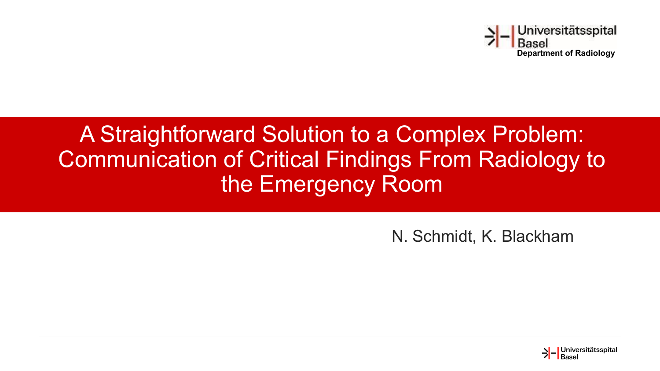

#### A Straightforward Solution to a Complex Problem: Communication of Critical Findings From Radiology to the Emergency Room

N. Schmidt, K. Blackham

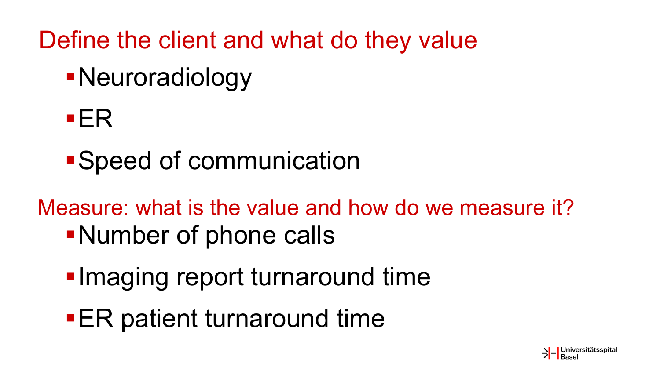Define the client and what do they value

- Neuroradiology
- ER
- Speed of communication

Measure: what is the value and how do we measure it? Number of phone calls

- **Imaging report turnaround time**
- **ER** patient turnaround time

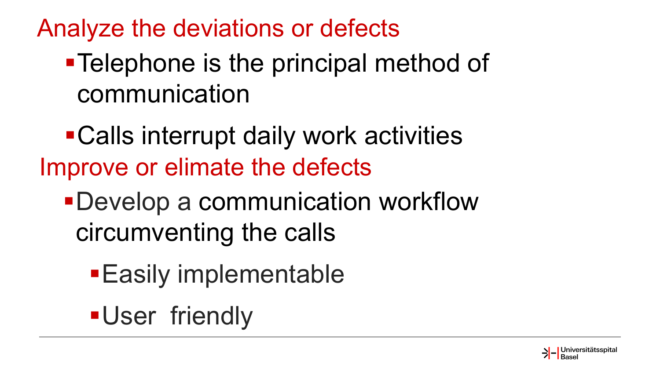Analyze the deviations or defects

#### **- Telephone is the principal method of** communication

Calls interrupt daily work activities Improve or elimate the defects

- Develop a communication workflow circumventing the calls
	- **Easily implementable**

**-User friendly** 

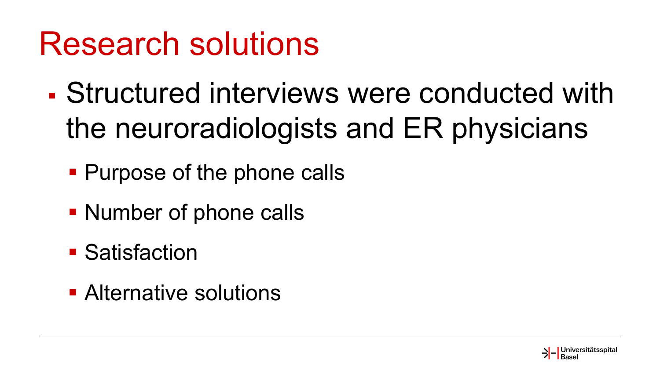## Research solutions

- Structured interviews were conducted with the neuroradiologists and ER physicians
	- **Purpose of the phone calls**
	- Number of phone calls
	- **Satisfaction**
	- **Alternative solutions**

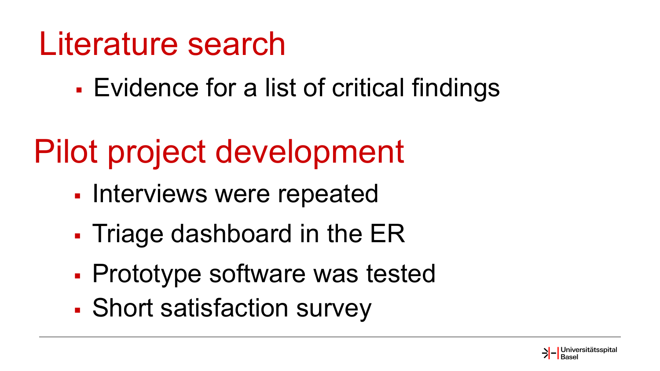### Literature search

Evidence for a list of critical findings

## Pilot project development

- Interviews were repeated
- Triage dashboard in the ER
- Prototype software was tested
- Short satisfaction survey

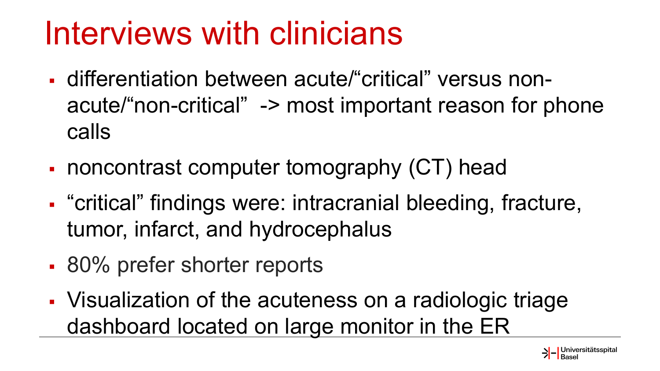## Interviews with clinicians

- differentiation between acute/"critical" versus nonacute/"non-critical" -> most important reason for phone calls
- noncontrast computer tomography (CT) head
- "critical" findings were: intracranial bleeding, fracture, tumor, infarct, and hydrocephalus
- 80% prefer shorter reports
- Visualization of the acuteness on a radiologic triage dashboard located on large monitor in the ER

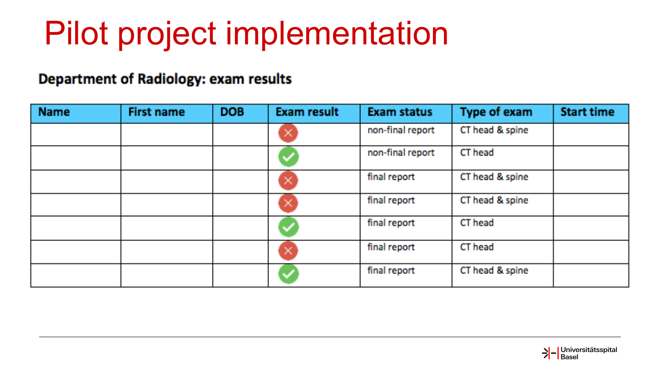# Pilot project implementation

#### Department of Radiology: exam results

| <b>Name</b> | <b>First name</b> | <b>DOB</b> | <b>Exam result</b> | <b>Exam status</b> | <b>Type of exam</b> | <b>Start time</b> |
|-------------|-------------------|------------|--------------------|--------------------|---------------------|-------------------|
|             |                   |            | ×                  | non-final report   | CT head & spine     |                   |
|             |                   |            | ✓                  | non-final report   | CT head             |                   |
|             |                   |            | ×                  | final report       | CT head & spine     |                   |
|             |                   |            | ×                  | final report       | CT head & spine     |                   |
|             |                   |            |                    | final report       | CT head             |                   |
|             |                   |            | ×                  | final report       | CT head             |                   |
|             |                   |            |                    | final report       | CT head & spine     |                   |

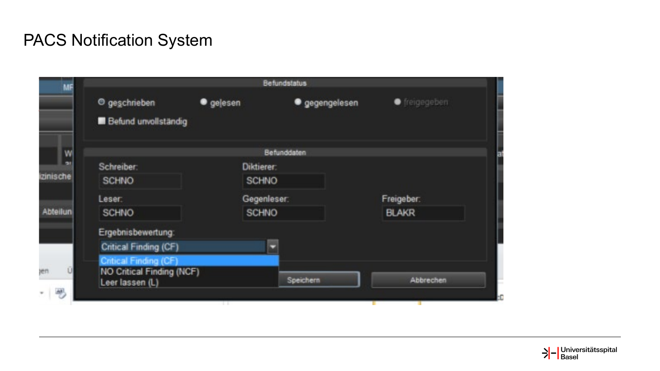#### PACS Notification System

| <sup>O</sup> geschrieben<br><b>Befund unvollständig</b> | · gelesen    | · gegengelesen                   | ● freigegeben                                   |  |
|---------------------------------------------------------|--------------|----------------------------------|-------------------------------------------------|--|
|                                                         |              |                                  |                                                 |  |
|                                                         |              |                                  |                                                 |  |
|                                                         |              |                                  |                                                 |  |
| Schreiber:                                              |              |                                  |                                                 |  |
| <b>SCHNO</b>                                            | <b>SCHNO</b> |                                  |                                                 |  |
| Leser.                                                  |              |                                  | Freigeber:                                      |  |
| <b>SCHNO</b>                                            | <b>SCHNO</b> |                                  | <b>BLAKR</b>                                    |  |
| Ergebnisbewertung:                                      |              |                                  |                                                 |  |
| Critical Finding (CF)                                   |              |                                  |                                                 |  |
| Critical Finding (CF)                                   |              |                                  |                                                 |  |
| Leer lassen (L)                                         |              | Speichern                        | Abbrechen                                       |  |
|                                                         |              | NO Critical Finding (NCF)<br>. . | Befunddaten<br><b>Diktierer:</b><br>Gegenleser: |  |